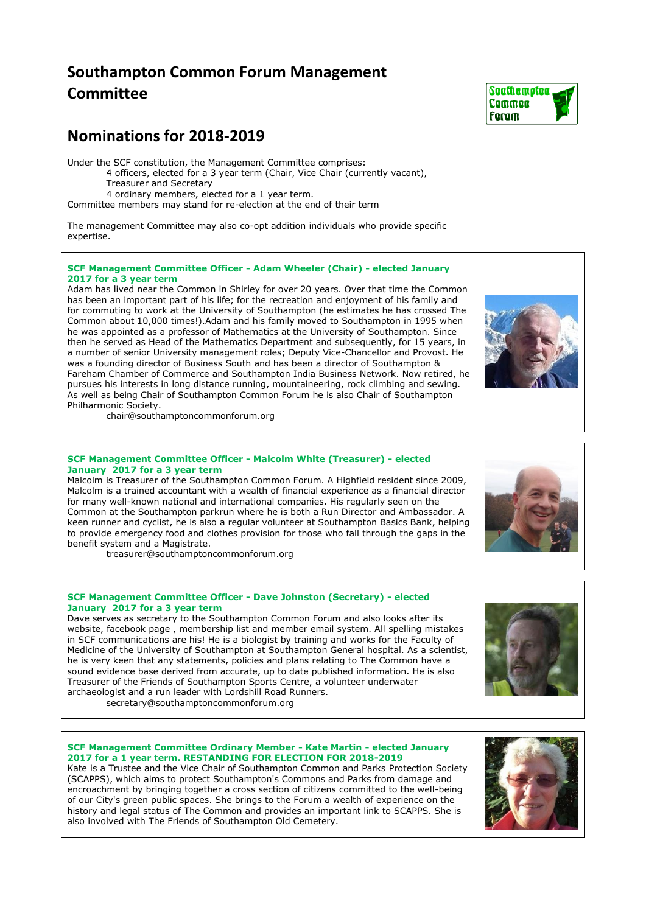# **Southampton Common Forum Management Committee**

## **Nominations for 2018-2019**

Under the SCF constitution, the Management Committee comprises:

4 officers, elected for a 3 year term (Chair, Vice Chair (currently vacant), Treasurer and Secretary

4 ordinary members, elected for a 1 year term.

Committee members may stand for re-election at the end of their term

The management Committee may also co-opt addition individuals who provide specific expertise.

### **SCF Management Committee Officer - Adam Wheeler (Chair) - elected January 2017 for a 3 year term**

Adam has lived near the Common in Shirley for over 20 years. Over that time the Common has been an important part of his life; for the recreation and enjoyment of his family and for commuting to work at the University of Southampton (he estimates he has crossed The Common about 10,000 times!).Adam and his family moved to Southampton in 1995 when he was appointed as a professor of Mathematics at the University of Southampton. Since then he served as Head of the Mathematics Department and subsequently, for 15 years, in a number of senior University management roles; Deputy Vice-Chancellor and Provost. He was a founding director of Business South and has been a director of Southampton & Fareham Chamber of Commerce and Southampton India Business Network. Now retired, he pursues his interests in long distance running, mountaineering, rock climbing and sewing. As well as being Chair of Southampton Common Forum he is also Chair of Southampton Philharmonic Society.

chair@southamptoncommonforum.org

### **SCF Management Committee Officer - Malcolm White (Treasurer) - elected January 2017 for a 3 year term**

Malcolm is Treasurer of the Southampton Common Forum. A Highfield resident since 2009, Malcolm is a trained accountant with a wealth of financial experience as a financial director for many well-known national and international companies. His regularly seen on the Common at the Southampton parkrun where he is both a Run Director and Ambassador. A keen runner and cyclist, he is also a regular volunteer at Southampton Basics Bank, helping to provide emergency food and clothes provision for those who fall through the gaps in the benefit system and a Magistrate.

treasurer@southamptoncommonforum.org

### **SCF Management Committee Officer - Dave Johnston (Secretary) - elected January 2017 for a 3 year term**

Dave serves as secretary to the Southampton Common Forum and also looks after its website, facebook page , membership list and member email system. All spelling mistakes in SCF communications are his! He is a biologist by training and works for the Faculty of Medicine of the University of Southampton at Southampton General hospital. As a scientist, he is very keen that any statements, policies and plans relating to The Common have a sound evidence base derived from accurate, up to date published information. He is also Treasurer of the Friends of Southampton Sports Centre, a volunteer underwater archaeologist and a run leader with Lordshill Road Runners.

secretary@southamptoncommonforum.org

#### **SCF Management Committee Ordinary Member - Kate Martin - elected January 2017 for a 1 year term. RESTANDING FOR ELECTION FOR 2018-2019**

Kate is a Trustee and the Vice Chair of Southampton Common and Parks Protection Society (SCAPPS), which aims to protect Southampton's Commons and Parks from damage and encroachment by bringing together a cross section of citizens committed to the well-being of our City's green public spaces. She brings to the Forum a wealth of experience on the history and legal status of The Common and provides an important link to SCAPPS. She is also involved with The Friends of Southampton Old Cemetery.



### Sauthametan **Camman Farum**